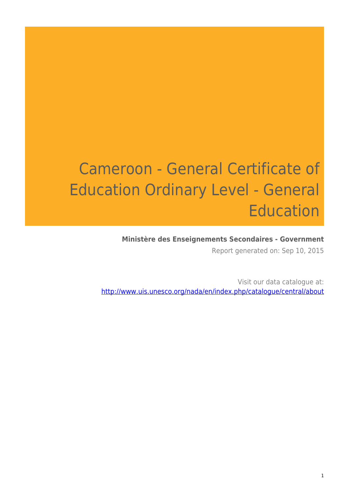# Cameroon - General Certificate of Education Ordinary Level - General Education

### **Ministère des Enseignements Secondaires - Government**

Report generated on: Sep 10, 2015

Visit our data catalogue at: http://www.uis.unesco.org/nada/en/index.php/catalogue/central/about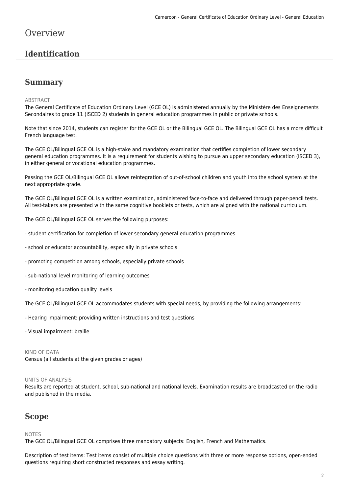### **Overview**

### **Identification**

### **Summary**

#### ABSTRACT

The General Certificate of Education Ordinary Level (GCE OL) is administered annually by the Ministère des Enseignements Secondaires to grade 11 (ISCED 2) students in general education programmes in public or private schools.

Note that since 2014, students can register for the GCE OL or the Bilingual GCE OL. The Bilingual GCE OL has a more difficult French language test.

The GCE OL/Bilingual GCE OL is a high-stake and mandatory examination that certifies completion of lower secondary general education programmes. It is a requirement for students wishing to pursue an upper secondary education (ISCED 3), in either general or vocational education programmes.

Passing the GCE OL/Bilingual GCE OL allows reintegration of out-of-school children and youth into the school system at the next appropriate grade.

The GCE OL/Bilingual GCE OL is a written examination, administered face-to-face and delivered through paper-pencil tests. All test-takers are presented with the same cognitive booklets or tests, which are aligned with the national curriculum.

The GCE OL/Bilingual GCE OL serves the following purposes:

- student certification for completion of lower secondary general education programmes
- school or educator accountability, especially in private schools
- promoting competition among schools, especially private schools
- sub-national level monitoring of learning outcomes
- monitoring education quality levels

The GCE OL/Bilingual GCE OL accommodates students with special needs, by providing the following arrangements:

- Hearing impairment: providing written instructions and test questions
- Visual impairment: braille

#### KIND OF DATA

Census (all students at the given grades or ages)

#### UNITS OF ANALYSIS

Results are reported at student, school, sub-national and national levels. Examination results are broadcasted on the radio and published in the media.

### **Scope**

#### NOTES

The GCE OL/Bilingual GCE OL comprises three mandatory subjects: English, French and Mathematics.

Description of test items: Test items consist of multiple choice questions with three or more response options, open-ended questions requiring short constructed responses and essay writing.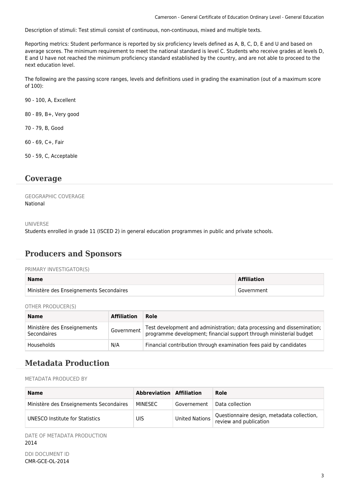Description of stimuli: Test stimuli consist of continuous, non-continuous, mixed and multiple texts.

Reporting metrics: Student performance is reported by six proficiency levels defined as A, B, C, D, E and U and based on average scores. The minimum requirement to meet the national standard is level C. Students who receive grades at levels D, E and U have not reached the minimum proficiency standard established by the country, and are not able to proceed to the next education level.

The following are the passing score ranges, levels and definitions used in grading the examination (out of a maximum score of 100):

90 - 100, A, Excellent

80 - 89, B+, Very good

70 - 79, B, Good

60 - 69, C+, Fair

50 - 59, C, Acceptable

### **Coverage**

GEOGRAPHIC COVERAGE National

UNIVERSE

Students enrolled in grade 11 (ISCED 2) in general education programmes in public and private schools.

### **Producers and Sponsors**

#### PRIMARY INVESTIGATOR(S)

| <b>Name</b>                             | <b>Affiliation</b> |
|-----------------------------------------|--------------------|
| Ministère des Enseignements Secondaires | Government         |

OTHER PRODUCER(S)

| <b>Name</b>                                       | <b>Affiliation</b> | Role                                                                                                                                           |
|---------------------------------------------------|--------------------|------------------------------------------------------------------------------------------------------------------------------------------------|
| Ministère des Enseignements<br><b>Secondaires</b> | Government         | Test development and administration; data processing and dissemination;<br>programme development; financial support through ministerial budget |
| Households                                        | N/A                | Financial contribution through examination fees paid by candidates                                                                             |

### **Metadata Production**

METADATA PRODUCED BY

| <b>Name</b>                             | Abbreviation Affiliation |                | Role                                                                 |
|-----------------------------------------|--------------------------|----------------|----------------------------------------------------------------------|
| Ministère des Enseignements Secondaires | MINESEC                  | Governement    | Data collection                                                      |
| UNESCO Institute for Statistics         | UIS                      | United Nations | Questionnaire design, metadata collection,<br>review and publication |

DATE OF METADATA PRODUCTION 2014

DDI DOCUMENT ID CMR-GCE-OL-2014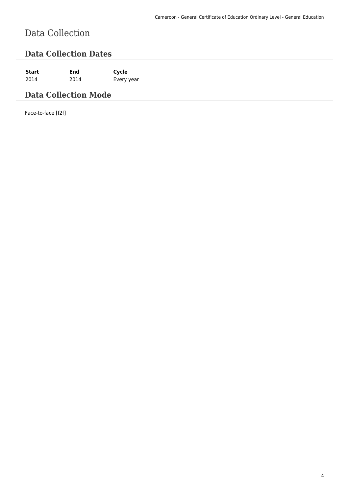# Data Collection

### **Data Collection Dates**

**Start End Cycle** 2014 2014 Every year

### **Data Collection Mode**

Face-to-face [f2f]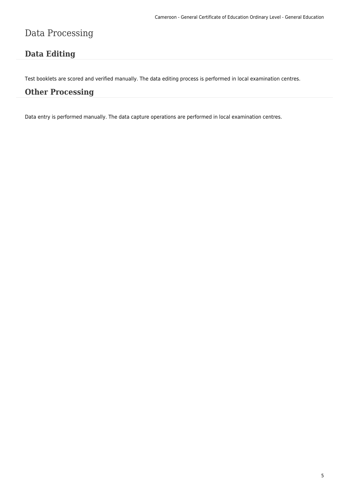## Data Processing

### **Data Editing**

Test booklets are scored and verified manually. The data editing process is performed in local examination centres.

### **Other Processing**

Data entry is performed manually. The data capture operations are performed in local examination centres.